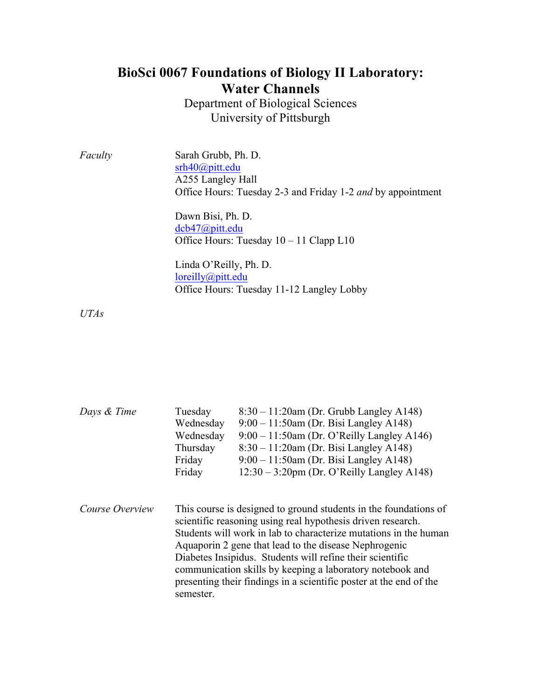## **BioSci 0067 Foundations of Biology II Laboratory: Water Channels**

Department of Biological Sciences University of Pittsburgh

*Faculty* Sarah Grubb, Ph. D. srh40@pitt.edu A255 Langley Hall Office Hours: Tuesday 2-3 and Friday 1-2 *and* by appointment

> Dawn Bisi, Ph. D. dcb47@pitt.edu Office Hours: Tuesday 10 – 11 Clapp L10

Linda O'Reilly, Ph. D. loreilly@pitt.edu Office Hours: Tuesday 11-12 Langley Lobby

*UTAs*

| Days & Time     | Tuesday<br>Wednesday<br>Wednesday<br>Thursday<br>Friday<br>Friday                                                                                                                                                                                                                                                                                                                                                                                                         | $8:30 - 11:20$ am (Dr. Grubb Langley A148)<br>$9:00 - 11:50$ am (Dr. Bisi Langley A148)<br>$9:00 - 11:50$ am (Dr. O'Reilly Langley A146)<br>$8:30 - 11:20$ am (Dr. Bisi Langley A148)<br>$9:00 - 11:50$ am (Dr. Bisi Langley A148)<br>$12:30 - 3:20$ pm (Dr. O'Reilly Langley A148) |  |  |
|-----------------|---------------------------------------------------------------------------------------------------------------------------------------------------------------------------------------------------------------------------------------------------------------------------------------------------------------------------------------------------------------------------------------------------------------------------------------------------------------------------|-------------------------------------------------------------------------------------------------------------------------------------------------------------------------------------------------------------------------------------------------------------------------------------|--|--|
| Course Overview | This course is designed to ground students in the foundations of<br>scientific reasoning using real hypothesis driven research.<br>Students will work in lab to characterize mutations in the human<br>Aquaporin 2 gene that lead to the disease Nephrogenic<br>Diabetes Insipidus. Students will refine their scientific<br>communication skills by keeping a laboratory notebook and<br>presenting their findings in a scientific poster at the end of the<br>semester. |                                                                                                                                                                                                                                                                                     |  |  |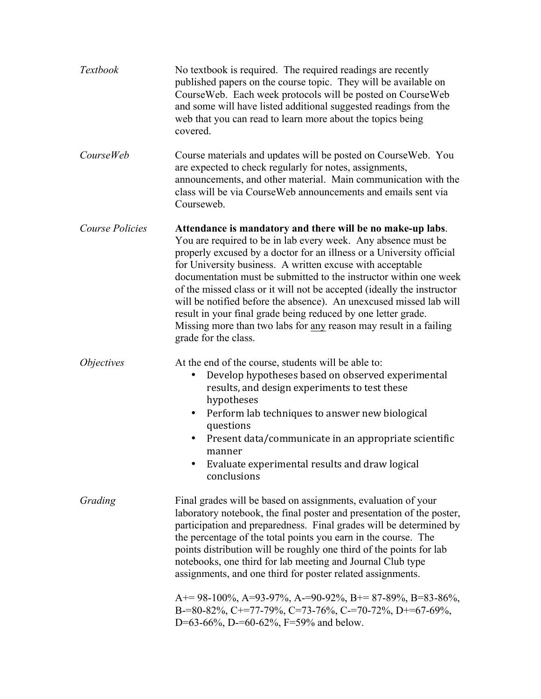| Textbook               | No textbook is required. The required readings are recently<br>published papers on the course topic. They will be available on<br>CourseWeb. Each week protocols will be posted on CourseWeb<br>and some will have listed additional suggested readings from the<br>web that you can read to learn more about the topics being<br>covered.                                                                                                                                                                                                                                                                                                          |  |  |
|------------------------|-----------------------------------------------------------------------------------------------------------------------------------------------------------------------------------------------------------------------------------------------------------------------------------------------------------------------------------------------------------------------------------------------------------------------------------------------------------------------------------------------------------------------------------------------------------------------------------------------------------------------------------------------------|--|--|
| <b>CourseWeb</b>       | Course materials and updates will be posted on Course Web. You<br>are expected to check regularly for notes, assignments,<br>announcements, and other material. Main communication with the<br>class will be via Course Web announcements and emails sent via<br>Courseweb.                                                                                                                                                                                                                                                                                                                                                                         |  |  |
| <b>Course Policies</b> | Attendance is mandatory and there will be no make-up labs.<br>You are required to be in lab every week. Any absence must be<br>properly excused by a doctor for an illness or a University official<br>for University business. A written excuse with acceptable<br>documentation must be submitted to the instructor within one week<br>of the missed class or it will not be accepted (ideally the instructor<br>will be notified before the absence). An unexcused missed lab will<br>result in your final grade being reduced by one letter grade.<br>Missing more than two labs for any reason may result in a failing<br>grade for the class. |  |  |
| <i>Objectives</i>      | At the end of the course, students will be able to:<br>Develop hypotheses based on observed experimental<br>٠<br>results, and design experiments to test these<br>hypotheses<br>Perform lab techniques to answer new biological<br>٠<br>questions<br>Present data/communicate in an appropriate scientific<br>٠<br>manner<br>Evaluate experimental results and draw logical<br>conclusions                                                                                                                                                                                                                                                          |  |  |
| Grading                | Final grades will be based on assignments, evaluation of your<br>laboratory notebook, the final poster and presentation of the poster,<br>participation and preparedness. Final grades will be determined by<br>the percentage of the total points you earn in the course. The<br>points distribution will be roughly one third of the points for lab<br>notebooks, one third for lab meeting and Journal Club type<br>assignments, and one third for poster related assignments.                                                                                                                                                                   |  |  |
|                        | $A+= 98-100\%$ , $A=93-97\%$ , $A=-90-92\%$ , $B=87-89\%$ , $B=83-86\%$ ,<br>B-=80-82%, C+=77-79%, C=73-76%, C-=70-72%, D+=67-69%,<br>D=63-66%, D-=60-62%, F=59% and below.                                                                                                                                                                                                                                                                                                                                                                                                                                                                         |  |  |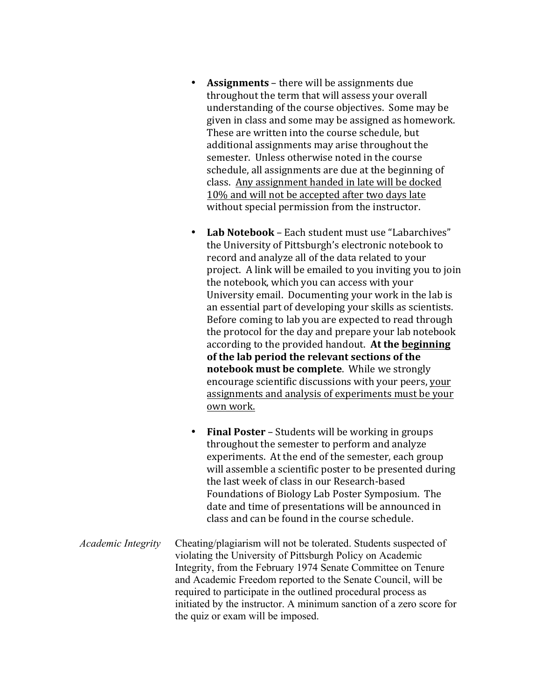- **Assignments** there will be assignments due throughout the term that will assess your overall understanding of the course objectives. Some may be given in class and some may be assigned as homework. These are written into the course schedule, but additional assignments may arise throughout the semester. Unless otherwise noted in the course schedule, all assignments are due at the beginning of class. Any assignment handed in late will be docked 10% and will not be accepted after two days late without special permission from the instructor.
- Lab Notebook Each student must use "Labarchives" the University of Pittsburgh's electronic notebook to record and analyze all of the data related to your project. A link will be emailed to you inviting you to join the notebook, which you can access with your University email. Documenting your work in the lab is an essential part of developing your skills as scientists. Before coming to lab you are expected to read through the protocol for the day and prepare your lab notebook according to the provided handout. At the beginning of the lab period the relevant sections of the **notebook must be complete**. While we strongly encourage scientific discussions with your peers, your assignments and analysis of experiments must be your own work.
- Final Poster Students will be working in groups throughout the semester to perform and analyze experiments. At the end of the semester, each group will assemble a scientific poster to be presented during the last week of class in our Research-based Foundations of Biology Lab Poster Symposium. The date and time of presentations will be announced in class and can be found in the course schedule.
- *Academic Integrity* Cheating/plagiarism will not be tolerated. Students suspected of violating the University of Pittsburgh Policy on Academic Integrity, from the February 1974 Senate Committee on Tenure and Academic Freedom reported to the Senate Council, will be required to participate in the outlined procedural process as initiated by the instructor. A minimum sanction of a zero score for the quiz or exam will be imposed.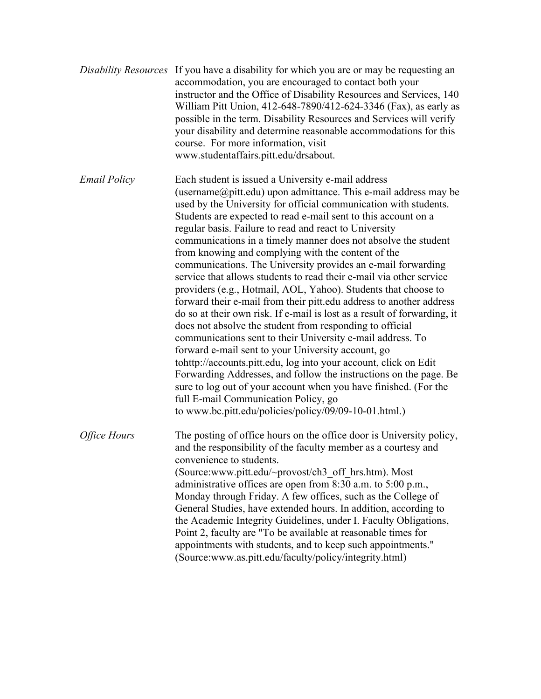- *Disability Resources* If you have a disability for which you are or may be requesting an accommodation, you are encouraged to contact both your instructor and the Office of Disability Resources and Services, 140 William Pitt Union, 412-648-7890/412-624-3346 (Fax), as early as possible in the term. Disability Resources and Services will verify your disability and determine reasonable accommodations for this course. For more information, visit www.studentaffairs.pitt.edu/drsabout.
- *Email Policy* Each student is issued a University e-mail address (username $@$ pitt.edu) upon admittance. This e-mail address may be used by the University for official communication with students. Students are expected to read e-mail sent to this account on a regular basis. Failure to read and react to University communications in a timely manner does not absolve the student from knowing and complying with the content of the communications. The University provides an e-mail forwarding service that allows students to read their e-mail via other service providers (e.g., Hotmail, AOL, Yahoo). Students that choose to forward their e-mail from their pitt.edu address to another address do so at their own risk. If e-mail is lost as a result of forwarding, it does not absolve the student from responding to official communications sent to their University e-mail address. To forward e-mail sent to your University account, go tohttp://accounts.pitt.edu, log into your account, click on Edit Forwarding Addresses, and follow the instructions on the page. Be sure to log out of your account when you have finished. (For the full E-mail Communication Policy, go to www.bc.pitt.edu/policies/policy/09/09-10-01.html.) *Office Hours* The posting of office hours on the office door is University policy, and the responsibility of the faculty member as a courtesy and convenience to students. (Source:www.pitt.edu/~provost/ch3\_off\_hrs.htm). Most administrative offices are open from 8:30 a.m. to 5:00 p.m., Monday through Friday. A few offices, such as the College of General Studies, have extended hours. In addition, according to the Academic Integrity Guidelines, under I. Faculty Obligations, Point 2, faculty are "To be available at reasonable times for appointments with students, and to keep such appointments."

(Source:www.as.pitt.edu/faculty/policy/integrity.html)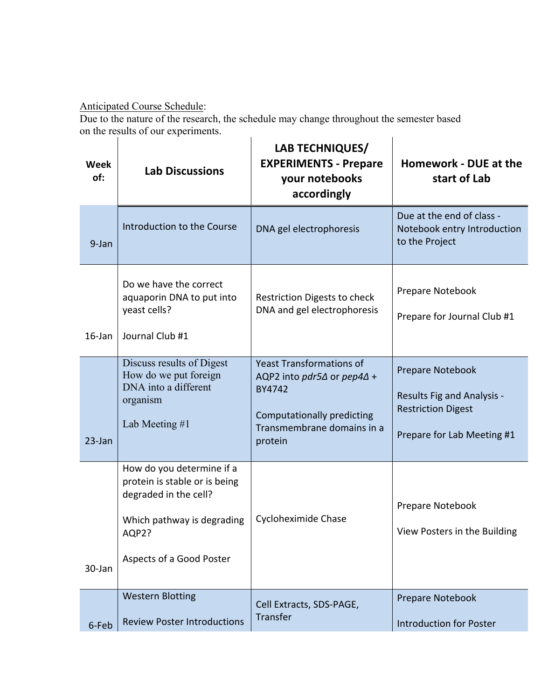## Anticipated Course Schedule:

Due to the nature of the research, the schedule may change throughout the semester based on the results of our experiments.  $\mathbf{r}$ 

| <b>Week</b><br>of: | <b>Lab Discussions</b>                                                                                                                                 | LAB TECHNIQUES/<br><b>EXPERIMENTS - Prepare</b><br>your notebooks<br>accordingly                                                                             | <b>Homework - DUE at the</b><br>start of Lab                                                                     |
|--------------------|--------------------------------------------------------------------------------------------------------------------------------------------------------|--------------------------------------------------------------------------------------------------------------------------------------------------------------|------------------------------------------------------------------------------------------------------------------|
| 9-Jan              | Introduction to the Course                                                                                                                             | DNA gel electrophoresis                                                                                                                                      | Due at the end of class -<br>Notebook entry Introduction<br>to the Project                                       |
| $16$ -Jan          | Do we have the correct<br>aquaporin DNA to put into<br>yeast cells?<br>Journal Club #1                                                                 | Restriction Digests to check<br>DNA and gel electrophoresis                                                                                                  | Prepare Notebook<br>Prepare for Journal Club #1                                                                  |
| $23$ -Jan          | Discuss results of Digest<br>How do we put foreign<br>DNA into a different<br>organism<br>Lab Meeting #1                                               | <b>Yeast Transformations of</b><br>AQP2 into $pdf5\Delta$ or $pep4\Delta +$<br>BY4742<br>Computationally predicting<br>Transmembrane domains in a<br>protein | Prepare Notebook<br><b>Results Fig and Analysis -</b><br><b>Restriction Digest</b><br>Prepare for Lab Meeting #1 |
| 30-Jan             | How do you determine if a<br>protein is stable or is being<br>degraded in the cell?<br>Which pathway is degrading<br>AQP2?<br>Aspects of a Good Poster | Cycloheximide Chase                                                                                                                                          | Prepare Notebook<br>View Posters in the Building                                                                 |
| 6-Feb              | <b>Western Blotting</b><br><b>Review Poster Introductions</b>                                                                                          | Cell Extracts, SDS-PAGE,<br>Transfer                                                                                                                         | Prepare Notebook<br><b>Introduction for Poster</b>                                                               |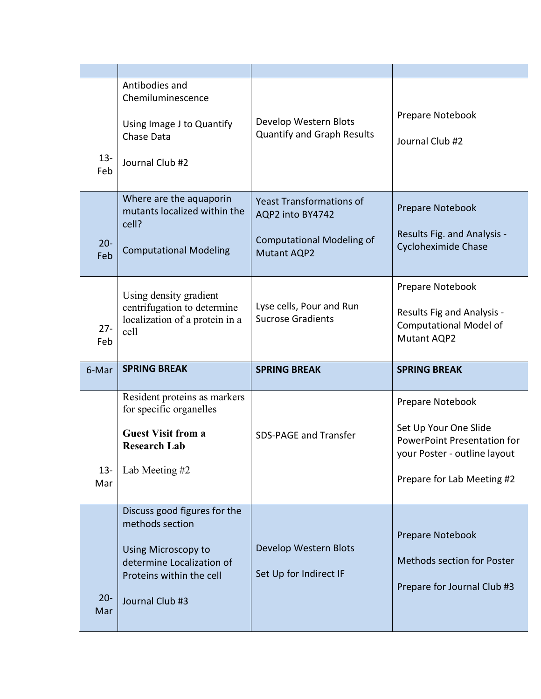| $13 -$<br>Feb | Antibodies and<br>Chemiluminescence<br>Using Image J to Quantify<br>Chase Data<br>Journal Club #2                                                             | Develop Western Blots<br><b>Quantify and Graph Results</b>                                                    | Prepare Notebook<br>Journal Club #2                                                                                                           |
|---------------|---------------------------------------------------------------------------------------------------------------------------------------------------------------|---------------------------------------------------------------------------------------------------------------|-----------------------------------------------------------------------------------------------------------------------------------------------|
| $20 -$<br>Feb | Where are the aquaporin<br>mutants localized within the<br>cell?<br><b>Computational Modeling</b>                                                             | <b>Yeast Transformations of</b><br>AQP2 into BY4742<br><b>Computational Modeling of</b><br><b>Mutant AQP2</b> | Prepare Notebook<br>Results Fig. and Analysis -<br><b>Cycloheximide Chase</b>                                                                 |
| $27 -$<br>Feb | Using density gradient<br>centrifugation to determine<br>localization of a protein in a<br>cell                                                               | Lyse cells, Pour and Run<br><b>Sucrose Gradients</b>                                                          | Prepare Notebook<br>Results Fig and Analysis -<br><b>Computational Model of</b><br>Mutant AQP2                                                |
|               |                                                                                                                                                               |                                                                                                               |                                                                                                                                               |
| 6-Mar         | <b>SPRING BREAK</b>                                                                                                                                           | <b>SPRING BREAK</b>                                                                                           | <b>SPRING BREAK</b>                                                                                                                           |
| $13 -$<br>Mar | Resident proteins as markers<br>for specific organelles<br><b>Guest Visit from a</b><br><b>Research Lab</b><br>Lab Meeting #2<br>Discuss good figures for the | <b>SDS-PAGE and Transfer</b>                                                                                  | Prepare Notebook<br>Set Up Your One Slide<br><b>PowerPoint Presentation for</b><br>your Poster - outline layout<br>Prepare for Lab Meeting #2 |